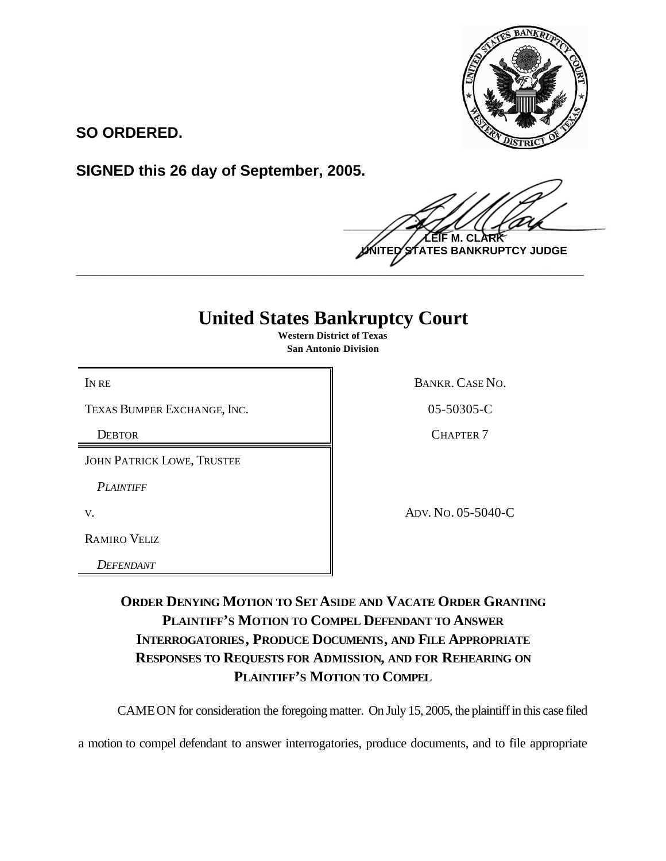

**SO ORDERED.**

**SIGNED this 26 day of September, 2005.**

 $\frac{1}{2}$ **M. TES BANKRUPTCY JUDGE \_\_\_\_\_\_\_\_\_\_\_\_\_\_\_\_\_\_\_\_\_\_\_\_\_\_\_\_\_\_\_\_\_\_\_\_\_\_\_\_\_\_\_\_\_\_\_\_\_\_\_\_\_\_\_\_\_\_\_\_**

## **United States Bankruptcy Court**

**Western District of Texas San Antonio Division**

TEXAS BUMPER EXCHANGE, INC. 105-50305-C

JOHN PATRICK LOWE, TRUSTEE

*PLAINTIFF* 

RAMIRO VELIZ

*DEFENDANT* 

IN RE BANKR. CASE NO.

DEBTOR CHAPTER 7

v. ADV. No. 05-5040-C

**ORDER DENYING MOTION TO SET ASIDE AND VACATE ORDER GRANTING PLAINTIFF'S MOTION TO COMPEL DEFENDANT TO ANSWER INTERROGATORIES, PRODUCE DOCUMENTS, AND FILE APPROPRIATE RESPONSES TO REQUESTS FOR ADMISSION, AND FOR REHEARING ON PLAINTIFF'S MOTION TO COMPEL**

CAMEON for consideration the foregoing matter. On July 15, 2005, the plaintiff in this case filed

a motion to compel defendant to answer interrogatories, produce documents, and to file appropriate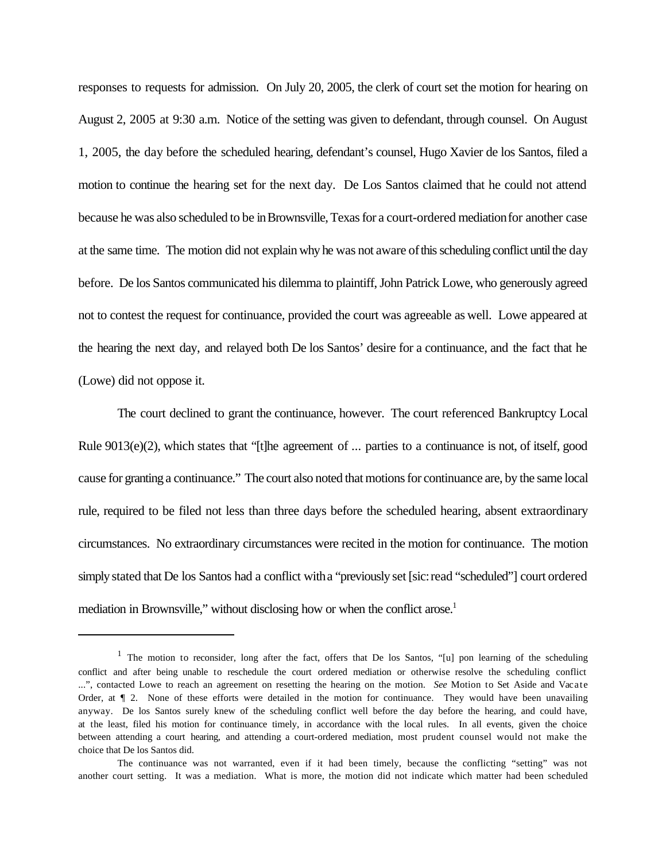responses to requests for admission. On July 20, 2005, the clerk of court set the motion for hearing on August 2, 2005 at 9:30 a.m. Notice of the setting was given to defendant, through counsel. On August 1, 2005, the day before the scheduled hearing, defendant's counsel, Hugo Xavier de los Santos, filed a motion to continue the hearing set for the next day. De Los Santos claimed that he could not attend because he was also scheduled to be in Brownsville. Texas for a court-ordered mediation for another case at the same time. The motion did not explain why he was not aware of this scheduling conflict until the day before. De los Santos communicated his dilemma to plaintiff, John Patrick Lowe, who generously agreed not to contest the request for continuance, provided the court was agreeable as well. Lowe appeared at the hearing the next day, and relayed both De los Santos' desire for a continuance, and the fact that he (Lowe) did not oppose it.

The court declined to grant the continuance, however. The court referenced Bankruptcy Local Rule 9013(e)(2), which states that "[t]he agreement of ... parties to a continuance is not, of itself, good cause for granting a continuance." The court also noted that motions for continuance are, by the same local rule, required to be filed not less than three days before the scheduled hearing, absent extraordinary circumstances. No extraordinary circumstances were recited in the motion for continuance. The motion simply stated that De los Santos had a conflict with a "previously set [sic: read "scheduled"] court ordered mediation in Brownsville," without disclosing how or when the conflict arose.<sup>1</sup>

<sup>&</sup>lt;sup>1</sup> The motion to reconsider, long after the fact, offers that De los Santos, "[u] pon learning of the scheduling conflict and after being unable to reschedule the court ordered mediation or otherwise resolve the scheduling conflict ...", contacted Lowe to reach an agreement on resetting the hearing on the motion. *See* Motion to Set Aside and Vacate Order, at ¶ 2. None of these efforts were detailed in the motion for continuance. They would have been unavailing anyway. De los Santos surely knew of the scheduling conflict well before the day before the hearing, and could have, at the least, filed his motion for continuance timely, in accordance with the local rules. In all events, given the choice between attending a court hearing, and attending a court-ordered mediation, most prudent counsel would not make the choice that De los Santos did.

The continuance was not warranted, even if it had been timely, because the conflicting "setting" was not another court setting. It was a mediation. What is more, the motion did not indicate which matter had been scheduled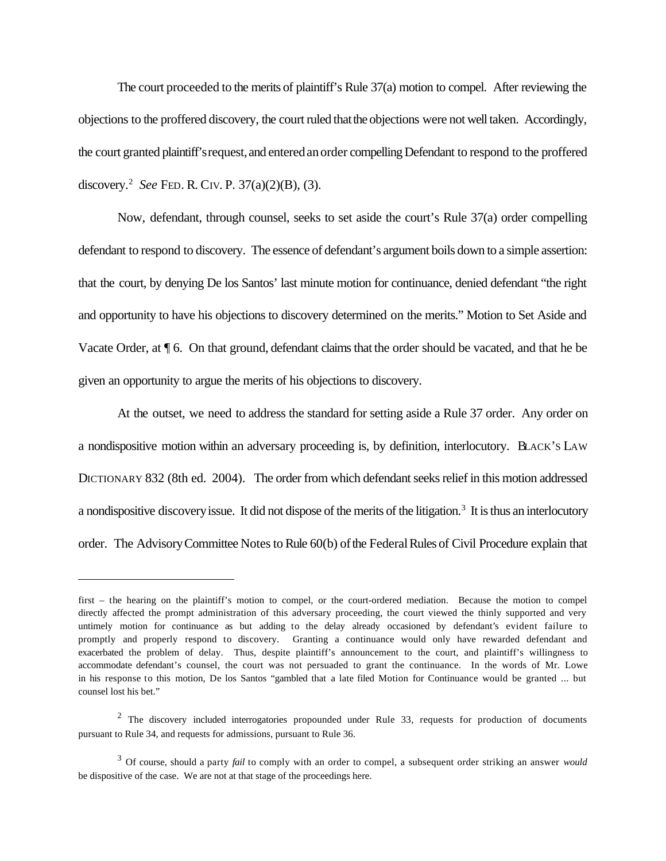The court proceeded to the merits of plaintiff's Rule 37(a) motion to compel. After reviewing the objections to the proffered discovery, the court ruled that the objections were not well taken. Accordingly, the court granted plaintiff's request, and entered an order compelling Defendant to respond to the proffered discovery.<sup>2</sup> *See* FED. R. CIV. P. 37(a)(2)(B), (3).

Now, defendant, through counsel, seeks to set aside the court's Rule 37(a) order compelling defendant to respond to discovery. The essence of defendant's argument boils down to a simple assertion: that the court, by denying De los Santos' last minute motion for continuance, denied defendant "the right and opportunity to have his objections to discovery determined on the merits." Motion to Set Aside and Vacate Order, at  $\P$  6. On that ground, defendant claims that the order should be vacated, and that he be given an opportunity to argue the merits of his objections to discovery.

At the outset, we need to address the standard for setting aside a Rule 37 order. Any order on a nondispositive motion within an adversary proceeding is, by definition, interlocutory. BLACK'S LAW DICTIONARY 832 (8th ed. 2004). The order from which defendant seeks relief in this motion addressed a nondispositive discovery issue. It did not dispose of the merits of the litigation.<sup>3</sup> It is thus an interlocutory order. The Advisory Committee Notes to Rule 60(b) of the Federal Rules of Civil Procedure explain that

first – the hearing on the plaintiff's motion to compel, or the court-ordered mediation. Because the motion to compel directly affected the prompt administration of this adversary proceeding, the court viewed the thinly supported and very untimely motion for continuance as but adding to the delay already occasioned by defendant's evident failure to promptly and properly respond to discovery. Granting a continuance would only have rewarded defendant and exacerbated the problem of delay. Thus, despite plaintiff's announcement to the court, and plaintiff's willingness to accommodate defendant's counsel, the court was not persuaded to grant the continuance. In the words of Mr. Lowe in his response to this motion, De los Santos "gambled that a late filed Motion for Continuance would be granted ... but counsel lost his bet."

 $2$  The discovery included interrogatories propounded under Rule 33, requests for production of documents pursuant to Rule 34, and requests for admissions, pursuant to Rule 36.

<sup>3</sup> Of course, should a party *fail* to comply with an order to compel, a subsequent order striking an answer *would* be dispositive of the case. We are not at that stage of the proceedings here.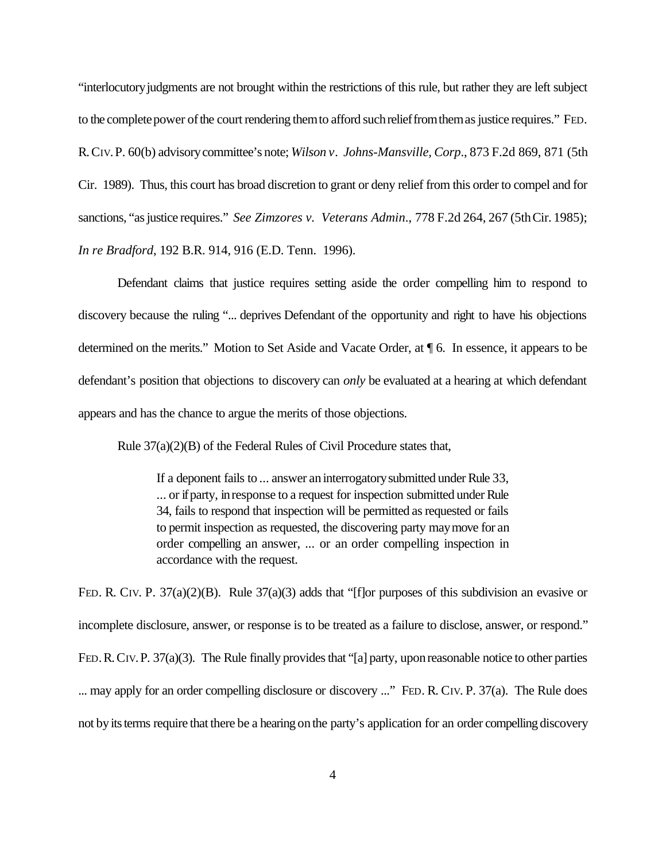"interlocutoryjudgments are not brought within the restrictions of this rule, but rather they are left subject to the complete power of the court rendering them to afford such relief from them as justice requires." FED. R.CIV.P. 60(b) advisorycommittee's note; *Wilson v. Johns-Mansville, Corp*., 873 F.2d 869, 871 (5th Cir. 1989). Thus, this court has broad discretion to grant or deny relief from this order to compel and for sanctions, "as justice requires." *See Zimzores v. Veterans Admin.*, 778 F.2d 264, 267 (5th Cir. 1985); *In re Bradford*, 192 B.R. 914, 916 (E.D. Tenn. 1996).

Defendant claims that justice requires setting aside the order compelling him to respond to discovery because the ruling "... deprives Defendant of the opportunity and right to have his objections determined on the merits." Motion to Set Aside and Vacate Order, at ¶ 6. In essence, it appears to be defendant's position that objections to discovery can *only* be evaluated at a hearing at which defendant appears and has the chance to argue the merits of those objections.

Rule 37(a)(2)(B) of the Federal Rules of Civil Procedure states that,

If a deponent fails to ... answer an interrogatory submitted under Rule 33, ... or if party, in response to a request for inspection submitted under Rule 34, fails to respond that inspection will be permitted as requested or fails to permit inspection as requested, the discovering party maymove for an order compelling an answer, ... or an order compelling inspection in accordance with the request.

FED. R. CIV. P. 37(a)(2)(B). Rule 37(a)(3) adds that "[f]or purposes of this subdivision an evasive or incomplete disclosure, answer, or response is to be treated as a failure to disclose, answer, or respond." FED. R. CIV. P. 37(a)(3). The Rule finally provides that "[a] party, upon reasonable notice to other parties ... may apply for an order compelling disclosure or discovery ..." FED. R. CIV. P. 37(a). The Rule does not by its terms require that there be a hearing on the party's application for an order compelling discovery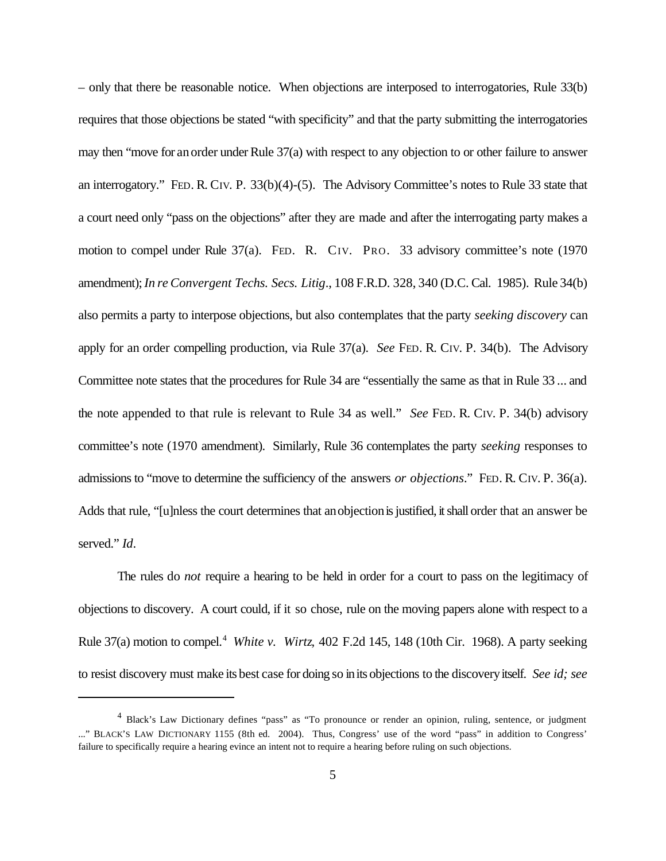– only that there be reasonable notice. When objections are interposed to interrogatories, Rule 33(b) requires that those objections be stated "with specificity" and that the party submitting the interrogatories may then "move for an order under Rule 37(a) with respect to any objection to or other failure to answer an interrogatory." FED. R. CIV. P. 33(b)(4)-(5). The Advisory Committee's notes to Rule 33 state that a court need only "pass on the objections" after they are made and after the interrogating party makes a motion to compel under Rule 37(a). FED. R. CIV. PRO. 33 advisory committee's note (1970 amendment);*In re Convergent Techs. Secs. Litig*., 108 F.R.D. 328, 340 (D.C. Cal. 1985). Rule 34(b) also permits a party to interpose objections, but also contemplates that the party *seeking discovery* can apply for an order compelling production, via Rule 37(a). *See* FED. R. CIV. P. 34(b). The Advisory Committee note states that the procedures for Rule 34 are "essentially the same as that in Rule 33 ... and the note appended to that rule is relevant to Rule 34 as well." *See* FED. R. CIV. P. 34(b) advisory committee's note (1970 amendment). Similarly, Rule 36 contemplates the party *seeking* responses to admissions to "move to determine the sufficiency of the answers *or objections*." FED. R. CIV. P. 36(a). Adds that rule, "[u]nless the court determines that an objection is justified, it shall order that an answer be served." *Id*.

The rules do *not* require a hearing to be held in order for a court to pass on the legitimacy of objections to discovery. A court could, if it so chose, rule on the moving papers alone with respect to a Rule 37(a) motion to compel.<sup>4</sup> *White v. Wirtz*, 402 F.2d 145, 148 (10th Cir. 1968). A party seeking to resist discovery must make its best case for doing so inits objections to the discoveryitself. *See id; see*

<sup>4</sup> Black's Law Dictionary defines "pass" as "To pronounce or render an opinion, ruling, sentence, or judgment ..." BLACK'S LAW DICTIONARY 1155 (8th ed. 2004). Thus, Congress' use of the word "pass" in addition to Congress' failure to specifically require a hearing evince an intent not to require a hearing before ruling on such objections.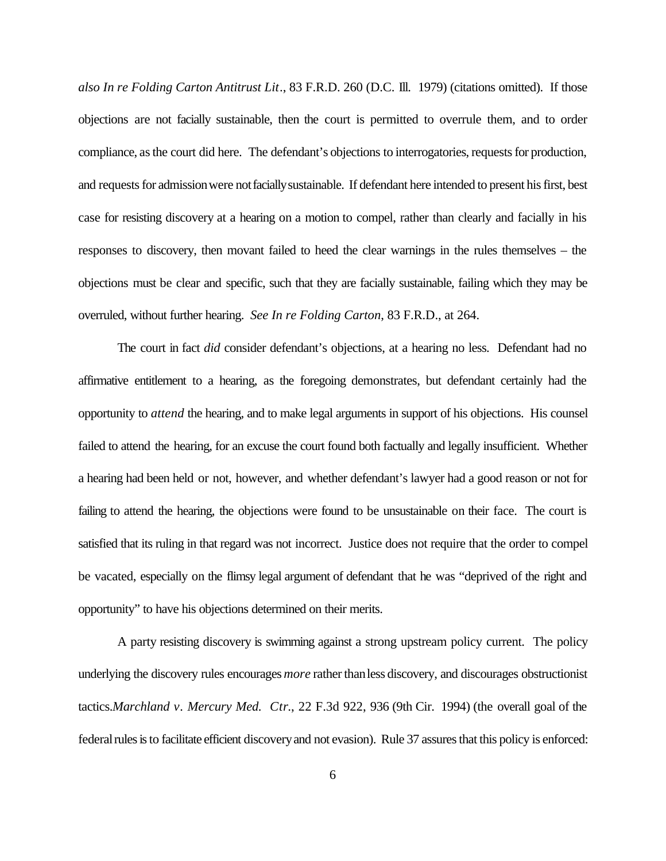*also In re Folding Carton Antitrust Lit*., 83 F.R.D. 260 (D.C. Ill. 1979) (citations omitted). If those objections are not facially sustainable, then the court is permitted to overrule them, and to order compliance, as the court did here. The defendant's objections to interrogatories, requests for production, and requests for admission were not facially sustainable. If defendant here intended to present his first, best case for resisting discovery at a hearing on a motion to compel, rather than clearly and facially in his responses to discovery, then movant failed to heed the clear warnings in the rules themselves – the objections must be clear and specific, such that they are facially sustainable, failing which they may be overruled, without further hearing. *See In re Folding Carton*, 83 F.R.D., at 264.

The court in fact *did* consider defendant's objections, at a hearing no less. Defendant had no affirmative entitlement to a hearing, as the foregoing demonstrates, but defendant certainly had the opportunity to *attend* the hearing, and to make legal arguments in support of his objections. His counsel failed to attend the hearing, for an excuse the court found both factually and legally insufficient. Whether a hearing had been held or not, however, and whether defendant's lawyer had a good reason or not for failing to attend the hearing, the objections were found to be unsustainable on their face. The court is satisfied that its ruling in that regard was not incorrect. Justice does not require that the order to compel be vacated, especially on the flimsy legal argument of defendant that he was "deprived of the right and opportunity" to have his objections determined on their merits.

A party resisting discovery is swimming against a strong upstream policy current. The policy underlying the discovery rules encourages *more* rather than less discovery, and discourages obstructionist tactics.*Marchland v. Mercury Med. Ctr*., 22 F.3d 922, 936 (9th Cir. 1994) (the overall goal of the federal rules is to facilitate efficient discovery and not evasion). Rule 37 assures that this policy is enforced: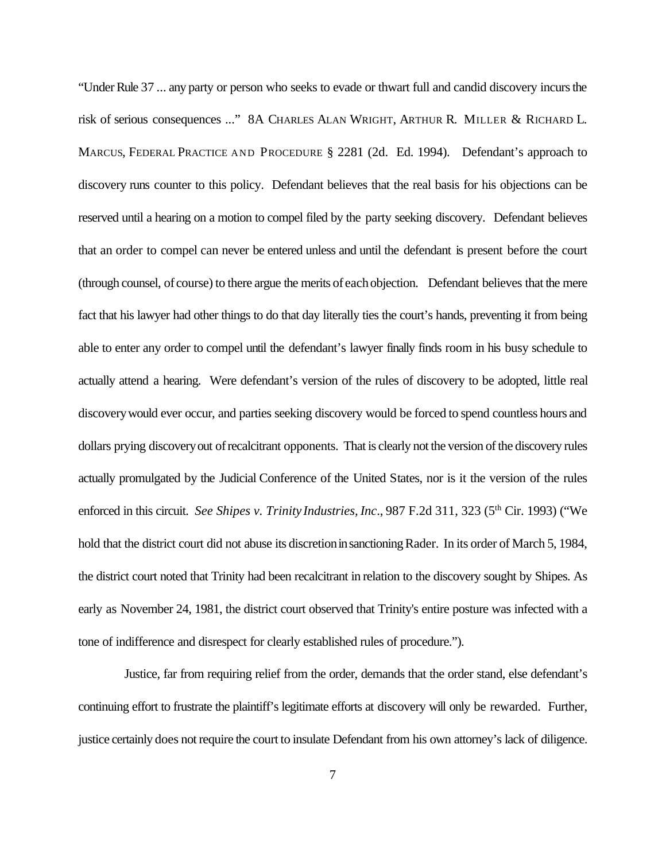"Under Rule 37 ... any party or person who seeks to evade or thwart full and candid discovery incurs the risk of serious consequences ..." 8A CHARLES ALAN WRIGHT, ARTHUR R. MILLER & RICHARD L. MARCUS, FEDERAL PRACTICE AND PROCEDURE § 2281 (2d. Ed. 1994). Defendant's approach to discovery runs counter to this policy. Defendant believes that the real basis for his objections can be reserved until a hearing on a motion to compel filed by the party seeking discovery. Defendant believes that an order to compel can never be entered unless and until the defendant is present before the court (through counsel, of course) to there argue the merits of eachobjection. Defendant believes that the mere fact that his lawyer had other things to do that day literally ties the court's hands, preventing it from being able to enter any order to compel until the defendant's lawyer finally finds room in his busy schedule to actually attend a hearing. Were defendant's version of the rules of discovery to be adopted, little real discoverywould ever occur, and parties seeking discovery would be forced to spend countless hours and dollars prying discoveryout ofrecalcitrant opponents. That is clearly not the version of the discovery rules actually promulgated by the Judicial Conference of the United States, nor is it the version of the rules enforced in this circuit. *See Shipes v. Trinity Industries, Inc.*, 987 F.2d 311, 323 (5<sup>th</sup> Cir. 1993) ("We hold that the district court did not abuse its discretion in sanctioning Rader. In its order of March 5, 1984, the district court noted that Trinity had been recalcitrant in relation to the discovery sought by Shipes. As early as November 24, 1981, the district court observed that Trinity's entire posture was infected with a tone of indifference and disrespect for clearly established rules of procedure.").

 Justice, far from requiring relief from the order, demands that the order stand, else defendant's continuing effort to frustrate the plaintiff's legitimate efforts at discovery will only be rewarded. Further, justice certainly does not require the court to insulate Defendant from his own attorney's lack of diligence.